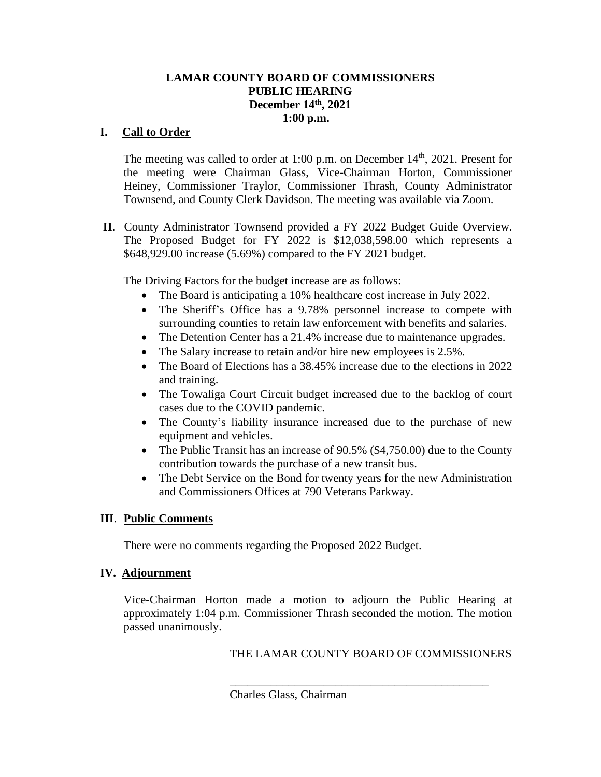### **LAMAR COUNTY BOARD OF COMMISSIONERS PUBLIC HEARING December 14th, 2021 1:00 p.m.**

# **I. Call to Order**

The meeting was called to order at 1:00 p.m. on December  $14<sup>th</sup>$ , 2021. Present for the meeting were Chairman Glass, Vice-Chairman Horton, Commissioner Heiney, Commissioner Traylor, Commissioner Thrash, County Administrator Townsend, and County Clerk Davidson. The meeting was available via Zoom.

 **II**. County Administrator Townsend provided a FY 2022 Budget Guide Overview. The Proposed Budget for FY 2022 is \$12,038,598.00 which represents a \$648,929.00 increase (5.69%) compared to the FY 2021 budget.

The Driving Factors for the budget increase are as follows:

- The Board is anticipating a 10% healthcare cost increase in July 2022.
- The Sheriff's Office has a 9.78% personnel increase to compete with surrounding counties to retain law enforcement with benefits and salaries.
- The Detention Center has a 21.4% increase due to maintenance upgrades.
- The Salary increase to retain and/or hire new employees is 2.5%.
- The Board of Elections has a 38.45% increase due to the elections in 2022 and training.
- The Towaliga Court Circuit budget increased due to the backlog of court cases due to the COVID pandemic.
- The County's liability insurance increased due to the purchase of new equipment and vehicles.
- The Public Transit has an increase of 90.5% (\$4,750.00) due to the County contribution towards the purchase of a new transit bus.
- The Debt Service on the Bond for twenty years for the new Administration and Commissioners Offices at 790 Veterans Parkway.

# **III**. **Public Comments**

There were no comments regarding the Proposed 2022 Budget.

### IV. Adjournment

Vice-Chairman Horton made a motion to adjourn the Public Hearing at approximately 1:04 p.m. Commissioner Thrash seconded the motion. The motion passed unanimously.

# THE LAMAR COUNTY BOARD OF COMMISSIONERS

\_\_\_\_\_\_\_\_\_\_\_\_\_\_\_\_\_\_\_\_\_\_\_\_\_\_\_\_\_\_\_\_\_\_\_\_\_\_\_\_\_\_\_\_